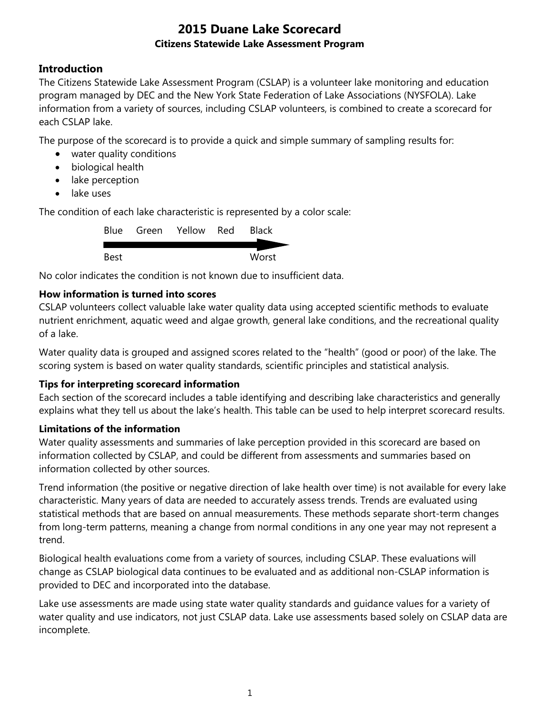## **Introduction**

The Citizens Statewide Lake Assessment Program (CSLAP) is a volunteer lake monitoring and education program managed by DEC and the New York State Federation of Lake Associations (NYSFOLA). Lake information from a variety of sources, including CSLAP volunteers, is combined to create a scorecard for each CSLAP lake.

The purpose of the scorecard is to provide a quick and simple summary of sampling results for:

- water quality conditions
- biological health
- lake perception
- lake uses

The condition of each lake characteristic is represented by a color scale:

|      | Blue Green Yellow Red | <b>Black</b> |
|------|-----------------------|--------------|
|      |                       |              |
| Best |                       | Worst        |

No color indicates the condition is not known due to insufficient data.

#### **How information is turned into scores**

CSLAP volunteers collect valuable lake water quality data using accepted scientific methods to evaluate nutrient enrichment, aquatic weed and algae growth, general lake conditions, and the recreational quality of a lake.

Water quality data is grouped and assigned scores related to the "health" (good or poor) of the lake. The scoring system is based on water quality standards, scientific principles and statistical analysis.

#### **Tips for interpreting scorecard information**

Each section of the scorecard includes a table identifying and describing lake characteristics and generally explains what they tell us about the lake's health. This table can be used to help interpret scorecard results.

#### **Limitations of the information**

Water quality assessments and summaries of lake perception provided in this scorecard are based on information collected by CSLAP, and could be different from assessments and summaries based on information collected by other sources.

Trend information (the positive or negative direction of lake health over time) is not available for every lake characteristic. Many years of data are needed to accurately assess trends. Trends are evaluated using statistical methods that are based on annual measurements. These methods separate short-term changes from long-term patterns, meaning a change from normal conditions in any one year may not represent a trend.

Biological health evaluations come from a variety of sources, including CSLAP. These evaluations will change as CSLAP biological data continues to be evaluated and as additional non-CSLAP information is provided to DEC and incorporated into the database.

Lake use assessments are made using state water quality standards and guidance values for a variety of water quality and use indicators, not just CSLAP data. Lake use assessments based solely on CSLAP data are incomplete.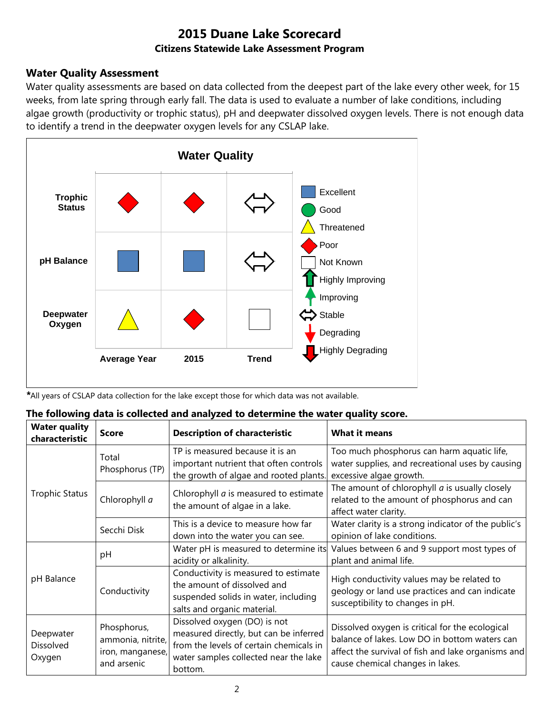### **Water Quality Assessment**

Water quality assessments are based on data collected from the deepest part of the lake every other week, for 15 weeks, from late spring through early fall. The data is used to evaluate a number of lake conditions, including algae growth (productivity or trophic status), pH and deepwater dissolved oxygen levels. There is not enough data to identify a trend in the deepwater oxygen levels for any CSLAP lake.



*\**All years of CSLAP data collection for the lake except those for which data was not available.

|  |  |  |  |  |  |  |  |  | The following data is collected and analyzed to determine the water quality score. |
|--|--|--|--|--|--|--|--|--|------------------------------------------------------------------------------------|
|--|--|--|--|--|--|--|--|--|------------------------------------------------------------------------------------|

| <b>Water quality</b><br>characteristic | <b>Score</b>                                                        | <b>Description of characteristic</b>                                                                                                                                  | <b>What it means</b>                                                                                                                                                                       |
|----------------------------------------|---------------------------------------------------------------------|-----------------------------------------------------------------------------------------------------------------------------------------------------------------------|--------------------------------------------------------------------------------------------------------------------------------------------------------------------------------------------|
|                                        | Total<br>Phosphorus (TP)                                            | TP is measured because it is an<br>important nutrient that often controls<br>the growth of algae and rooted plants.                                                   | Too much phosphorus can harm aquatic life,<br>water supplies, and recreational uses by causing<br>excessive algae growth.                                                                  |
| <b>Trophic Status</b>                  | Chlorophyll a                                                       | Chlorophyll <i>a</i> is measured to estimate<br>the amount of algae in a lake.                                                                                        | The amount of chlorophyll $a$ is usually closely<br>related to the amount of phosphorus and can<br>affect water clarity.                                                                   |
|                                        | Secchi Disk                                                         | This is a device to measure how far<br>down into the water you can see.                                                                                               | Water clarity is a strong indicator of the public's<br>opinion of lake conditions.                                                                                                         |
|                                        | рH                                                                  | Water pH is measured to determine its<br>acidity or alkalinity.                                                                                                       | Values between 6 and 9 support most types of<br>plant and animal life.                                                                                                                     |
| pH Balance                             | Conductivity                                                        | Conductivity is measured to estimate<br>the amount of dissolved and<br>suspended solids in water, including<br>salts and organic material.                            | High conductivity values may be related to<br>geology or land use practices and can indicate<br>susceptibility to changes in pH.                                                           |
| Deepwater<br>Dissolved<br>Oxygen       | Phosphorus,<br>ammonia, nitrite,<br>iron, manganese,<br>and arsenic | Dissolved oxygen (DO) is not<br>measured directly, but can be inferred<br>from the levels of certain chemicals in<br>water samples collected near the lake<br>bottom. | Dissolved oxygen is critical for the ecological<br>balance of lakes. Low DO in bottom waters can<br>affect the survival of fish and lake organisms and<br>cause chemical changes in lakes. |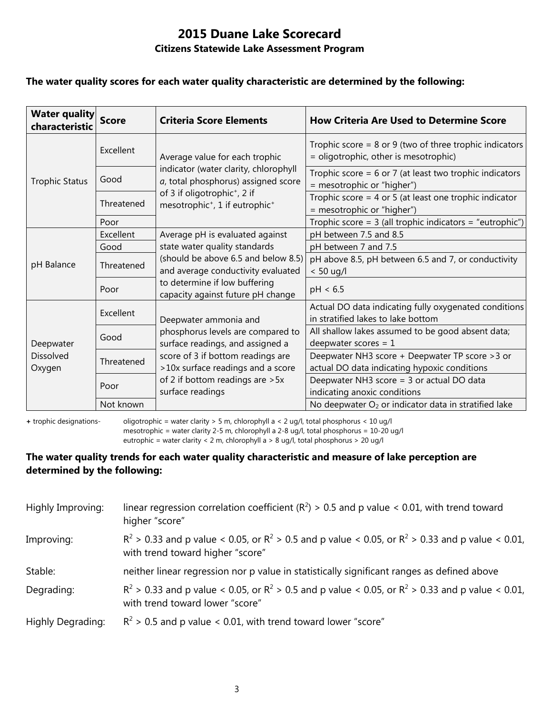#### **The water quality scores for each water quality characteristic are determined by the following:**

| <b>Water quality</b><br>characteristic | <b>Score</b> | <b>Criteria Score Elements</b>                                                                             | <b>How Criteria Are Used to Determine Score</b>                                                      |
|----------------------------------------|--------------|------------------------------------------------------------------------------------------------------------|------------------------------------------------------------------------------------------------------|
|                                        | Excellent    | Average value for each trophic                                                                             | Trophic score = $8$ or $9$ (two of three trophic indicators<br>= oligotrophic, other is mesotrophic) |
| <b>Trophic Status</b>                  | Good         | indicator (water clarity, chlorophyll<br>a, total phosphorus) assigned score                               | Trophic score = $6$ or 7 (at least two trophic indicators<br>= mesotrophic or "higher")              |
|                                        | Threatened   | of 3 if oligotrophic <sup>+</sup> , 2 if<br>mesotrophic <sup>+</sup> , 1 if eutrophic <sup>+</sup>         | Trophic score = $4$ or $5$ (at least one trophic indicator<br>= mesotrophic or "higher")             |
|                                        | Poor         |                                                                                                            | Trophic score = $3$ (all trophic indicators = "eutrophic")                                           |
|                                        | Excellent    | Average pH is evaluated against                                                                            | pH between 7.5 and 8.5                                                                               |
|                                        | Good         | state water quality standards<br>(should be above 6.5 and below 8.5)<br>and average conductivity evaluated | pH between 7 and 7.5                                                                                 |
| pH Balance                             | Threatened   |                                                                                                            | pH above 8.5, pH between 6.5 and 7, or conductivity<br>$< 50$ ug/l                                   |
|                                        | Poor         | to determine if low buffering<br>capacity against future pH change                                         | pH < 6.5                                                                                             |
| Deepwater<br>Dissolved<br>Oxygen       | Excellent    | Deepwater ammonia and                                                                                      | Actual DO data indicating fully oxygenated conditions<br>in stratified lakes to lake bottom          |
|                                        | Good         | phosphorus levels are compared to<br>surface readings, and assigned a                                      | All shallow lakes assumed to be good absent data;<br>deepwater scores = $1$                          |
|                                        | Threatened   | score of 3 if bottom readings are<br>>10x surface readings and a score                                     | Deepwater NH3 score + Deepwater TP score > 3 or<br>actual DO data indicating hypoxic conditions      |
|                                        | Poor         | of 2 if bottom readings are > 5x<br>surface readings                                                       | Deepwater NH3 score = 3 or actual DO data<br>indicating anoxic conditions                            |
|                                        | Not known    |                                                                                                            | No deepwater O <sub>2</sub> or indicator data in stratified lake                                     |

**+** trophic designations- oligotrophic = water clarity > 5 m, chlorophyll a < 2 ug/l, total phosphorus < 10 ug/l mesotrophic = water clarity 2-5 m, chlorophyll a 2-8 ug/l, total phosphorus = 10-20 ug/l

eutrophic = water clarity < 2 m, chlorophyll a > 8 ug/l, total phosphorus > 20 ug/l

#### **The water quality trends for each water quality characteristic and measure of lake perception are determined by the following:**

| Highly Improving: | linear regression correlation coefficient ( $R^2$ ) > 0.5 and p value < 0.01, with trend toward<br>higher "score"                           |
|-------------------|---------------------------------------------------------------------------------------------------------------------------------------------|
| Improving:        | $R^2 > 0.33$ and p value < 0.05, or $R^2 > 0.5$ and p value < 0.05, or $R^2 > 0.33$ and p value < 0.01,<br>with trend toward higher "score" |
| Stable:           | neither linear regression nor p value in statistically significant ranges as defined above                                                  |
| Degrading:        | $R^2 > 0.33$ and p value < 0.05, or $R^2 > 0.5$ and p value < 0.05, or $R^2 > 0.33$ and p value < 0.01,<br>with trend toward lower "score"  |
| Highly Degrading: | $R^2$ > 0.5 and p value < 0.01, with trend toward lower "score"                                                                             |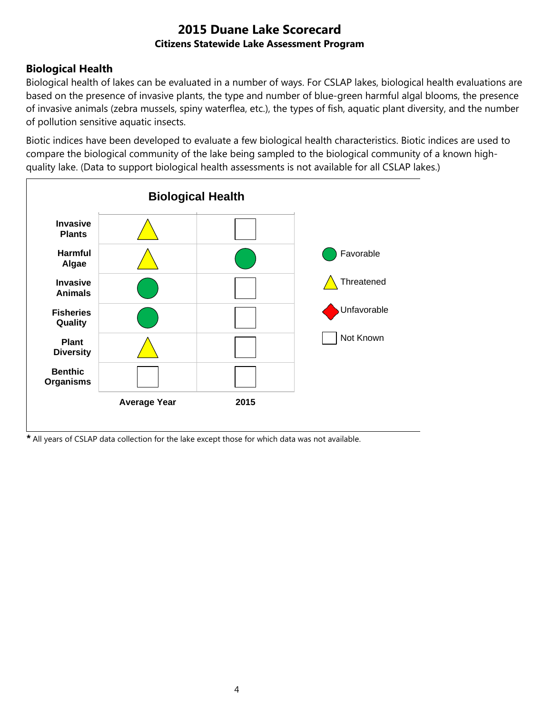## **Biological Health**

Biological health of lakes can be evaluated in a number of ways. For CSLAP lakes, biological health evaluations are based on the presence of invasive plants, the type and number of blue-green harmful algal blooms, the presence of invasive animals (zebra mussels, spiny waterflea, etc.), the types of fish, aquatic plant diversity, and the number of pollution sensitive aquatic insects.

Biotic indices have been developed to evaluate a few biological health characteristics. Biotic indices are used to compare the biological community of the lake being sampled to the biological community of a known highquality lake. (Data to support biological health assessments is not available for all CSLAP lakes.)



*\** All years of CSLAP data collection for the lake except those for which data was not available.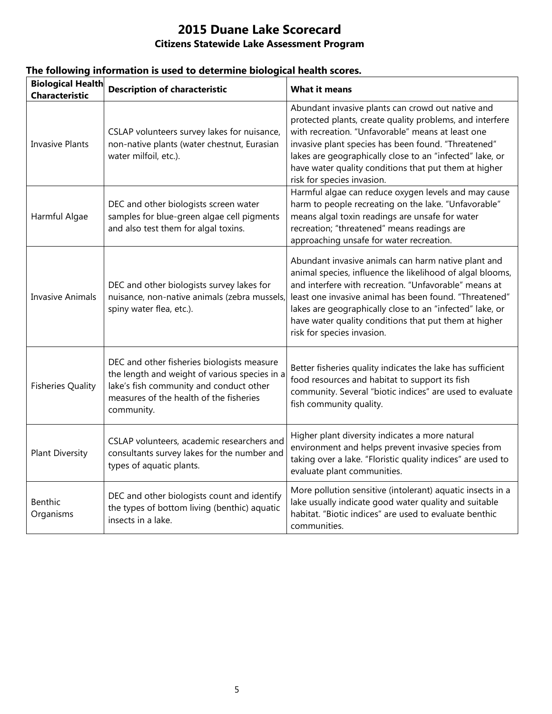| <b>Biological Health</b><br><b>Characteristic</b> | <b>Description of characteristic</b>                                                                                                                                                            | <b>What it means</b>                                                                                                                                                                                                                                                                                                                                                                   |
|---------------------------------------------------|-------------------------------------------------------------------------------------------------------------------------------------------------------------------------------------------------|----------------------------------------------------------------------------------------------------------------------------------------------------------------------------------------------------------------------------------------------------------------------------------------------------------------------------------------------------------------------------------------|
| <b>Invasive Plants</b>                            | CSLAP volunteers survey lakes for nuisance,<br>non-native plants (water chestnut, Eurasian<br>water milfoil, etc.).                                                                             | Abundant invasive plants can crowd out native and<br>protected plants, create quality problems, and interfere<br>with recreation. "Unfavorable" means at least one<br>invasive plant species has been found. "Threatened"<br>lakes are geographically close to an "infected" lake, or<br>have water quality conditions that put them at higher<br>risk for species invasion.           |
| Harmful Algae                                     | DEC and other biologists screen water<br>samples for blue-green algae cell pigments<br>and also test them for algal toxins.                                                                     | Harmful algae can reduce oxygen levels and may cause<br>harm to people recreating on the lake. "Unfavorable"<br>means algal toxin readings are unsafe for water<br>recreation; "threatened" means readings are<br>approaching unsafe for water recreation.                                                                                                                             |
| <b>Invasive Animals</b>                           | DEC and other biologists survey lakes for<br>nuisance, non-native animals (zebra mussels,<br>spiny water flea, etc.).                                                                           | Abundant invasive animals can harm native plant and<br>animal species, influence the likelihood of algal blooms,<br>and interfere with recreation. "Unfavorable" means at<br>least one invasive animal has been found. "Threatened"<br>lakes are geographically close to an "infected" lake, or<br>have water quality conditions that put them at higher<br>risk for species invasion. |
| <b>Fisheries Quality</b>                          | DEC and other fisheries biologists measure<br>the length and weight of various species in a<br>lake's fish community and conduct other<br>measures of the health of the fisheries<br>community. | Better fisheries quality indicates the lake has sufficient<br>food resources and habitat to support its fish<br>community. Several "biotic indices" are used to evaluate<br>fish community quality.                                                                                                                                                                                    |
| <b>Plant Diversity</b>                            | CSLAP volunteers, academic researchers and<br>consultants survey lakes for the number and<br>types of aquatic plants.                                                                           | Higher plant diversity indicates a more natural<br>environment and helps prevent invasive species from<br>taking over a lake. "Floristic quality indices" are used to<br>evaluate plant communities.                                                                                                                                                                                   |
| <b>Benthic</b><br>Organisms                       | DEC and other biologists count and identify<br>the types of bottom living (benthic) aquatic<br>insects in a lake.                                                                               | More pollution sensitive (intolerant) aquatic insects in a<br>lake usually indicate good water quality and suitable<br>habitat. "Biotic indices" are used to evaluate benthic<br>communities.                                                                                                                                                                                          |

# **The following information is used to determine biological health scores.**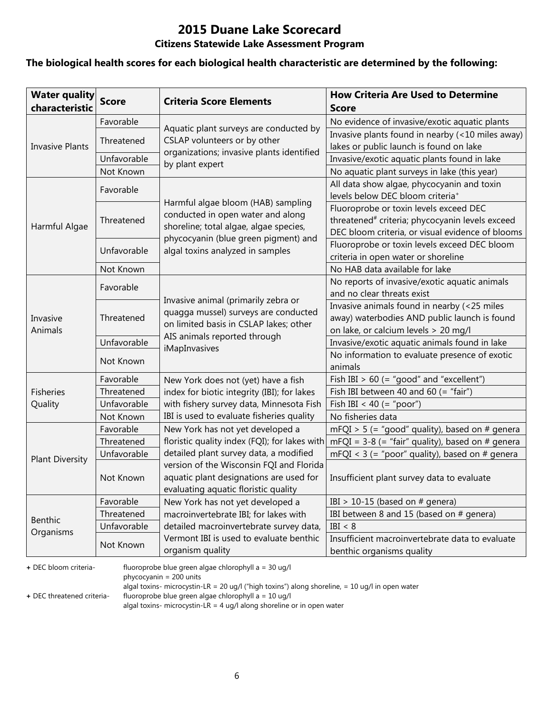# **2015 Duane Lake Scorecard**

#### **Citizens Statewide Lake Assessment Program**

#### **The biological health scores for each biological health characteristic are determined by the following:**

| <b>Water quality</b><br>characteristic | <b>Score</b> | <b>Criteria Score Elements</b>                                                                                              | <b>How Criteria Are Used to Determine</b><br><b>Score</b>                                                                                                 |
|----------------------------------------|--------------|-----------------------------------------------------------------------------------------------------------------------------|-----------------------------------------------------------------------------------------------------------------------------------------------------------|
|                                        | Favorable    |                                                                                                                             | No evidence of invasive/exotic aquatic plants                                                                                                             |
|                                        | Threatened   | Aquatic plant surveys are conducted by<br>CSLAP volunteers or by other                                                      | Invasive plants found in nearby (<10 miles away)                                                                                                          |
| <b>Invasive Plants</b>                 |              | organizations; invasive plants identified                                                                                   | lakes or public launch is found on lake                                                                                                                   |
|                                        | Unfavorable  | by plant expert                                                                                                             | Invasive/exotic aquatic plants found in lake                                                                                                              |
|                                        | Not Known    |                                                                                                                             | No aquatic plant surveys in lake (this year)                                                                                                              |
|                                        | Favorable    |                                                                                                                             | All data show algae, phycocyanin and toxin<br>levels below DEC bloom criteria <sup>+</sup>                                                                |
| Harmful Algae                          | Threatened   | Harmful algae bloom (HAB) sampling<br>conducted in open water and along<br>shoreline; total algae, algae species,           | Fluoroprobe or toxin levels exceed DEC<br>threatened <sup>#</sup> criteria; phycocyanin levels exceed<br>DEC bloom criteria, or visual evidence of blooms |
|                                        | Unfavorable  | phycocyanin (blue green pigment) and<br>algal toxins analyzed in samples                                                    | Fluoroprobe or toxin levels exceed DEC bloom<br>criteria in open water or shoreline                                                                       |
|                                        | Not Known    |                                                                                                                             | No HAB data available for lake                                                                                                                            |
|                                        | Favorable    |                                                                                                                             | No reports of invasive/exotic aquatic animals<br>and no clear threats exist                                                                               |
| Invasive<br>Animals                    | Threatened   | Invasive animal (primarily zebra or<br>quagga mussel) surveys are conducted<br>on limited basis in CSLAP lakes; other       | Invasive animals found in nearby (<25 miles<br>away) waterbodies AND public launch is found<br>on lake, or calcium levels > 20 mg/l                       |
|                                        | Unfavorable  | AIS animals reported through                                                                                                | Invasive/exotic aquatic animals found in lake                                                                                                             |
|                                        | Not Known    | iMapInvasives                                                                                                               | No information to evaluate presence of exotic<br>animals                                                                                                  |
|                                        | Favorable    | New York does not (yet) have a fish                                                                                         | Fish IBI $> 60$ (= "good" and "excellent")                                                                                                                |
| <b>Fisheries</b>                       | Threatened   | index for biotic integrity (IBI); for lakes                                                                                 | Fish IBI between 40 and 60 (= "fair")                                                                                                                     |
| Quality                                | Unfavorable  | with fishery survey data, Minnesota Fish                                                                                    | Fish IBI < 40 (= "poor")                                                                                                                                  |
|                                        | Not Known    | IBI is used to evaluate fisheries quality                                                                                   | No fisheries data                                                                                                                                         |
|                                        | Favorable    | New York has not yet developed a                                                                                            | $mFQI > 5$ (= "good" quality), based on # genera                                                                                                          |
|                                        | Threatened   | floristic quality index (FQI); for lakes with                                                                               | $mFQI = 3-8$ (= "fair" quality), based on # genera                                                                                                        |
| <b>Plant Diversity</b>                 | Unfavorable  | detailed plant survey data, a modified                                                                                      | mFQI < $3$ (= "poor" quality), based on # genera                                                                                                          |
|                                        | Not Known    | version of the Wisconsin FQI and Florida<br>aquatic plant designations are used for<br>evaluating aquatic floristic quality | Insufficient plant survey data to evaluate                                                                                                                |
|                                        | Favorable    | New York has not yet developed a                                                                                            | IBI > 10-15 (based on $#$ genera)                                                                                                                         |
|                                        | Threatened   | macroinvertebrate IBI; for lakes with                                                                                       | IBI between 8 and 15 (based on # genera)                                                                                                                  |
| Benthic                                | Unfavorable  | detailed macroinvertebrate survey data,                                                                                     | IBI < 8                                                                                                                                                   |
| Organisms                              | Not Known    | Vermont IBI is used to evaluate benthic<br>organism quality                                                                 | Insufficient macroinvertebrate data to evaluate<br>benthic organisms quality                                                                              |

**+** DEC bloom criteria- fluoroprobe blue green algae chlorophyll a = 30 ug/l

phycocyanin = 200 units

algal toxins- microcystin-LR = 20 ug/l ("high toxins") along shoreline, = 10 ug/l in open water

**+** DEC threatened criteria- fluoroprobe blue green algae chlorophyll a = 10 ug/l

algal toxins- microcystin-LR = 4 ug/l along shoreline or in open water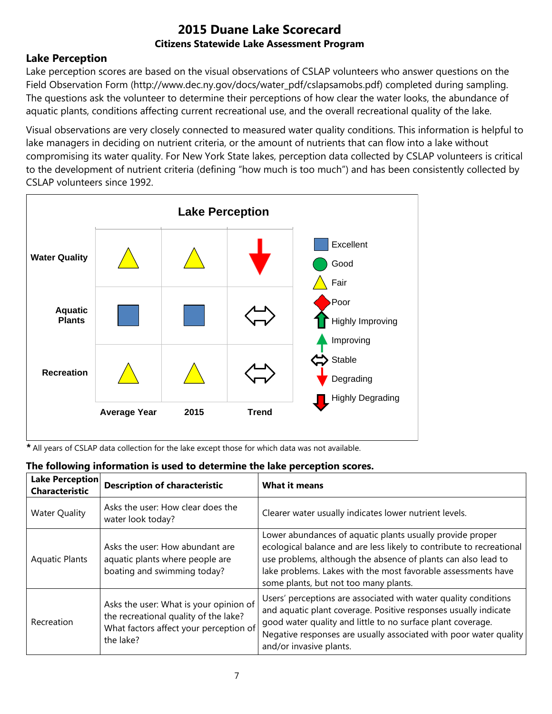### **Lake Perception**

Lake perception scores are based on the visual observations of CSLAP volunteers who answer questions on the Field Observation Form (http://www.dec.ny.gov/docs/water\_pdf/cslapsamobs.pdf) completed during sampling. The questions ask the volunteer to determine their perceptions of how clear the water looks, the abundance of aquatic plants, conditions affecting current recreational use, and the overall recreational quality of the lake.

Visual observations are very closely connected to measured water quality conditions. This information is helpful to lake managers in deciding on nutrient criteria, or the amount of nutrients that can flow into a lake without compromising its water quality. For New York State lakes, perception data collected by CSLAP volunteers is critical to the development of nutrient criteria (defining "how much is too much") and has been consistently collected by CSLAP volunteers since 1992.



*\** All years of CSLAP data collection for the lake except those for which data was not available.

| <b>Lake Perception</b><br><b>Characteristic</b> | The following implifience is used to determine the lake perception scores.<br><b>Description of characteristic</b>                     | <b>What it means</b>                                                                                                                                                                                                                                                                                         |
|-------------------------------------------------|----------------------------------------------------------------------------------------------------------------------------------------|--------------------------------------------------------------------------------------------------------------------------------------------------------------------------------------------------------------------------------------------------------------------------------------------------------------|
| <b>Water Quality</b>                            | Asks the user: How clear does the<br>water look today?                                                                                 | Clearer water usually indicates lower nutrient levels.                                                                                                                                                                                                                                                       |
| <b>Aquatic Plants</b>                           | Asks the user: How abundant are<br>aquatic plants where people are<br>boating and swimming today?                                      | Lower abundances of aquatic plants usually provide proper<br>ecological balance and are less likely to contribute to recreational<br>use problems, although the absence of plants can also lead to<br>lake problems. Lakes with the most favorable assessments have<br>some plants, but not too many plants. |
| Recreation                                      | Asks the user: What is your opinion of<br>the recreational quality of the lake?<br>What factors affect your perception of<br>the lake? | Users' perceptions are associated with water quality conditions<br>and aquatic plant coverage. Positive responses usually indicate<br>good water quality and little to no surface plant coverage.<br>Negative responses are usually associated with poor water quality<br>and/or invasive plants.            |

## **The following information is used to determine the lake perception scores.**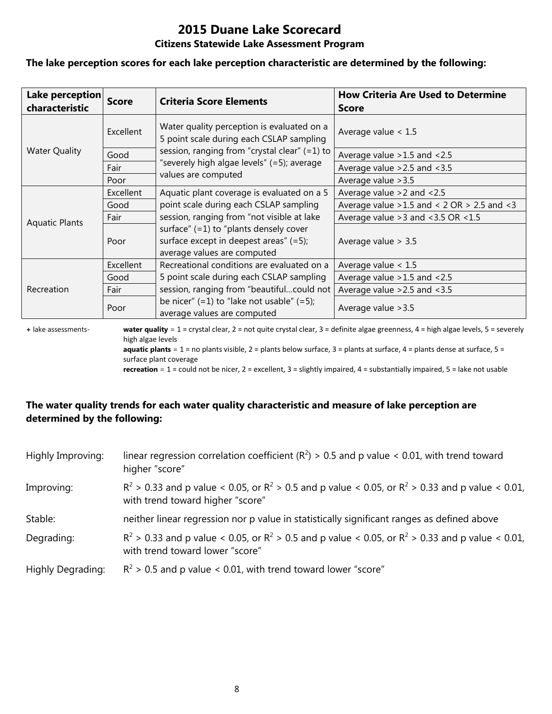# **2015 Duane Lake Scorecard**

#### **Citizens Statewide Lake Assessment Program**

#### **The lake perception scores for each lake perception characteristic are determined by the following:**

| Lake perception<br>characteristic | <b>Score</b> | <b>Criteria Score Elements</b>                                                                                       | <b>How Criteria Are Used to Determine</b><br><b>Score</b> |
|-----------------------------------|--------------|----------------------------------------------------------------------------------------------------------------------|-----------------------------------------------------------|
|                                   | Excellent    | Water quality perception is evaluated on a<br>5 point scale during each CSLAP sampling                               | Average value $< 1.5$                                     |
| <b>Water Quality</b>              | Good         | session, ranging from "crystal clear" (=1) to                                                                        | Average value $>1.5$ and $<2.5$                           |
|                                   | Fair         | "severely high algae levels" (=5); average                                                                           | Average value $>2.5$ and $<3.5$                           |
|                                   | Poor         | values are computed                                                                                                  | Average value > 3.5                                       |
|                                   | Excellent    | Aquatic plant coverage is evaluated on a 5                                                                           | Average value $>2$ and $< 2.5$                            |
|                                   | Good         | point scale during each CSLAP sampling                                                                               | Average value $>1.5$ and < 2 OR $> 2.5$ and < 3           |
| <b>Aquatic Plants</b>             | Fair         | session, ranging from "not visible at lake                                                                           | Average value $>3$ and $<3.5$ OR $<1.5$                   |
|                                   | Poor         | surface" $(=1)$ to "plants densely cover<br>surface except in deepest areas" $(=5)$ ;<br>average values are computed | Average value $> 3.5$                                     |
|                                   | Excellent    | Recreational conditions are evaluated on a                                                                           | Average value $< 1.5$                                     |
|                                   | Good         | 5 point scale during each CSLAP sampling                                                                             | Average value $>1.5$ and $<2.5$                           |
| Recreation                        | Fair         | session, ranging from "beautifulcould not                                                                            | Average value $>2.5$ and $<3.5$                           |
|                                   | Poor         | be nicer" $(=1)$ to "lake not usable" $(=5)$ ;<br>average values are computed                                        | Average value > 3.5                                       |

**+** lake assessments- **water quality** = 1 = crystal clear, 2 = not quite crystal clear, 3 = definite algae greenness, 4 = high algae levels, 5 = severely high algae levels **aquatic plants** = 1 = no plants visible, 2 = plants below surface, 3 = plants at surface, 4 = plants dense at surface, 5 =

surface plant coverage

**recreation** = 1 = could not be nicer, 2 = excellent, 3 = slightly impaired, 4 = substantially impaired, 5 = lake not usable

#### **The water quality trends for each water quality characteristic and measure of lake perception are determined by the following:**

| Highly Improving:        | linear regression correlation coefficient ( $R^2$ ) > 0.5 and p value < 0.01, with trend toward<br>higher "score"                           |
|--------------------------|---------------------------------------------------------------------------------------------------------------------------------------------|
| Improving:               | $R^2 > 0.33$ and p value < 0.05, or $R^2 > 0.5$ and p value < 0.05, or $R^2 > 0.33$ and p value < 0.01,<br>with trend toward higher "score" |
| Stable:                  | neither linear regression nor p value in statistically significant ranges as defined above                                                  |
| Degrading:               | $R^2$ > 0.33 and p value < 0.05, or $R^2$ > 0.5 and p value < 0.05, or $R^2$ > 0.33 and p value < 0.01,<br>with trend toward lower "score"  |
| <b>Highly Degrading:</b> | $R^2$ > 0.5 and p value < 0.01, with trend toward lower "score"                                                                             |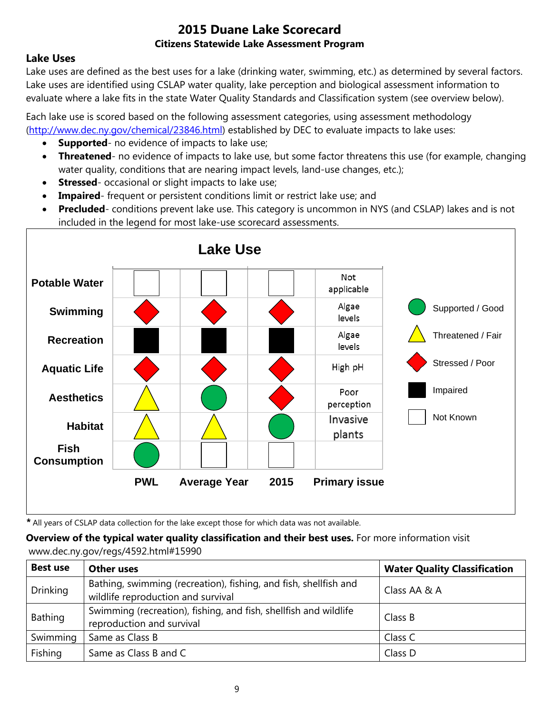### **Lake Uses**

Lake uses are defined as the best uses for a lake (drinking water, swimming, etc.) as determined by several factors. Lake uses are identified using CSLAP water quality, lake perception and biological assessment information to evaluate where a lake fits in the state Water Quality Standards and Classification system (see overview below).

Each lake use is scored based on the following assessment categories, using assessment methodology [\(http://www.dec.ny.gov/chemical/23846.html\)](http://www.dec.ny.gov/chemical/23846.html) established by DEC to evaluate impacts to lake uses:

- **Supported** no evidence of impacts to lake use;
- **Threatened** no evidence of impacts to lake use, but some factor threatens this use (for example, changing water quality, conditions that are nearing impact levels, land-use changes, etc.);
- **Stressed** occasional or slight impacts to lake use;
- **Impaired** frequent or persistent conditions limit or restrict lake use; and
- **Precluded** conditions prevent lake use. This category is uncommon in NYS (and CSLAP) lakes and is not included in the legend for most lake-use scorecard assessments.



*\** All years of CSLAP data collection for the lake except those for which data was not available.

**Overview of the typical water quality classification and their best uses.** For more information visit www.dec.ny.gov/regs/4592.html#15990

| <b>Best use</b> | <b>Other uses</b>                                                                                      | <b>Water Quality Classification</b> |
|-----------------|--------------------------------------------------------------------------------------------------------|-------------------------------------|
| <b>Drinking</b> | Bathing, swimming (recreation), fishing, and fish, shellfish and<br>wildlife reproduction and survival | Class AA & A                        |
| Bathing         | Swimming (recreation), fishing, and fish, shellfish and wildlife<br>reproduction and survival          | Class B                             |
| Swimming        | Same as Class B                                                                                        | Class C                             |
| Fishing         | Same as Class B and C                                                                                  | Class D                             |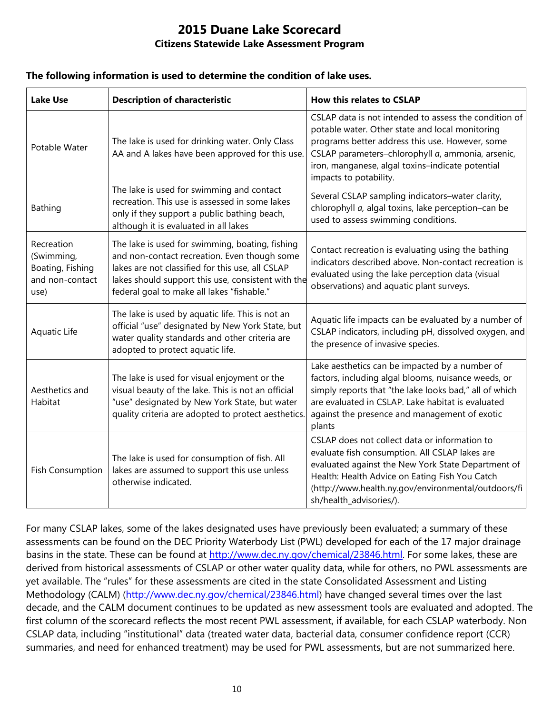#### **The following information is used to determine the condition of lake uses.**

| <b>Lake Use</b>                                                         | <b>Description of characteristic</b>                                                                                                                                                                                                                    | <b>How this relates to CSLAP</b>                                                                                                                                                                                                                                                               |
|-------------------------------------------------------------------------|---------------------------------------------------------------------------------------------------------------------------------------------------------------------------------------------------------------------------------------------------------|------------------------------------------------------------------------------------------------------------------------------------------------------------------------------------------------------------------------------------------------------------------------------------------------|
| Potable Water                                                           | The lake is used for drinking water. Only Class<br>AA and A lakes have been approved for this use.                                                                                                                                                      | CSLAP data is not intended to assess the condition of<br>potable water. Other state and local monitoring<br>programs better address this use. However, some<br>CSLAP parameters-chlorophyll a, ammonia, arsenic,<br>iron, manganese, algal toxins-indicate potential<br>impacts to potability. |
| <b>Bathing</b>                                                          | The lake is used for swimming and contact<br>recreation. This use is assessed in some lakes<br>only if they support a public bathing beach,<br>although it is evaluated in all lakes                                                                    | Several CSLAP sampling indicators-water clarity,<br>chlorophyll a, algal toxins, lake perception-can be<br>used to assess swimming conditions.                                                                                                                                                 |
| Recreation<br>(Swimming,<br>Boating, Fishing<br>and non-contact<br>use) | The lake is used for swimming, boating, fishing<br>and non-contact recreation. Even though some<br>lakes are not classified for this use, all CSLAP<br>lakes should support this use, consistent with the<br>federal goal to make all lakes "fishable." | Contact recreation is evaluating using the bathing<br>indicators described above. Non-contact recreation is<br>evaluated using the lake perception data (visual<br>observations) and aquatic plant surveys.                                                                                    |
| Aquatic Life                                                            | The lake is used by aquatic life. This is not an<br>official "use" designated by New York State, but<br>water quality standards and other criteria are<br>adopted to protect aquatic life.                                                              | Aquatic life impacts can be evaluated by a number of<br>CSLAP indicators, including pH, dissolved oxygen, and<br>the presence of invasive species.                                                                                                                                             |
| Aesthetics and<br>Habitat                                               | The lake is used for visual enjoyment or the<br>visual beauty of the lake. This is not an official<br>"use" designated by New York State, but water<br>quality criteria are adopted to protect aesthetics.                                              | Lake aesthetics can be impacted by a number of<br>factors, including algal blooms, nuisance weeds, or<br>simply reports that "the lake looks bad," all of which<br>are evaluated in CSLAP. Lake habitat is evaluated<br>against the presence and management of exotic<br>plants                |
| <b>Fish Consumption</b>                                                 | The lake is used for consumption of fish. All<br>lakes are assumed to support this use unless<br>otherwise indicated.                                                                                                                                   | CSLAP does not collect data or information to<br>evaluate fish consumption. All CSLAP lakes are<br>evaluated against the New York State Department of<br>Health: Health Advice on Eating Fish You Catch<br>(http://www.health.ny.gov/environmental/outdoors/fi<br>sh/health_advisories/).      |

For many CSLAP lakes, some of the lakes designated uses have previously been evaluated; a summary of these assessments can be found on the DEC Priority Waterbody List (PWL) developed for each of the 17 major drainage basins in the state. These can be found at [http://www.dec.ny.gov/chemical/23846.html.](http://www.dec.ny.gov/chemical/23846.html) For some lakes, these are derived from historical assessments of CSLAP or other water quality data, while for others, no PWL assessments are yet available. The "rules" for these assessments are cited in the state Consolidated Assessment and Listing Methodology (CALM) [\(http://www.dec.ny.gov/chemical/23846.html\)](http://www.dec.ny.gov/chemical/23846.html) have changed several times over the last decade, and the CALM document continues to be updated as new assessment tools are evaluated and adopted. The first column of the scorecard reflects the most recent PWL assessment, if available, for each CSLAP waterbody. Non CSLAP data, including "institutional" data (treated water data, bacterial data, consumer confidence report (CCR) summaries, and need for enhanced treatment) may be used for PWL assessments, but are not summarized here.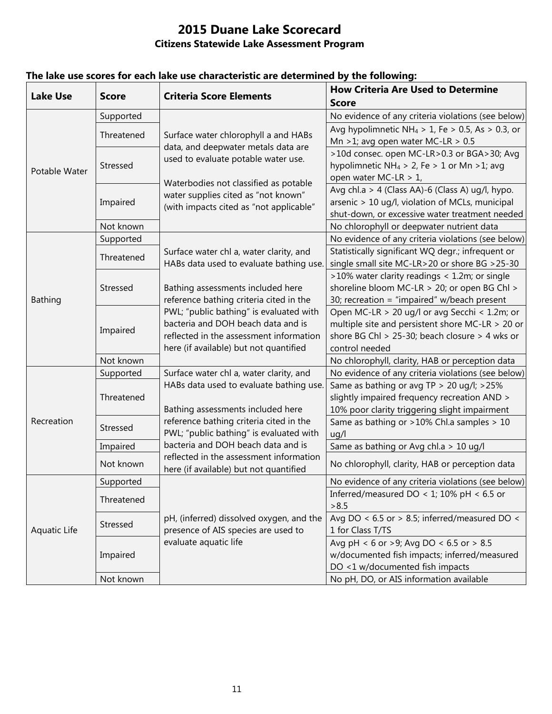| <b>Lake Use</b> | <b>Score</b> | <b>Criteria Score Elements</b>                                                                                          | <b>How Criteria Are Used to Determine</b>                    |
|-----------------|--------------|-------------------------------------------------------------------------------------------------------------------------|--------------------------------------------------------------|
|                 |              |                                                                                                                         | <b>Score</b>                                                 |
| Potable Water   | Supported    | Surface water chlorophyll a and HABs<br>data, and deepwater metals data are<br>used to evaluate potable water use.      | No evidence of any criteria violations (see below)           |
|                 | Threatened   |                                                                                                                         | Avg hypolimnetic NH <sub>4</sub> > 1, Fe > 0.5, As > 0.3, or |
|                 |              |                                                                                                                         | Mn >1; avg open water MC-LR > $0.5$                          |
|                 | Stressed     |                                                                                                                         | >10d consec. open MC-LR>0.3 or BGA>30; Avg                   |
|                 |              |                                                                                                                         | hypolimnetic NH <sub>4</sub> > 2, Fe > 1 or Mn > 1; avg      |
|                 |              | Waterbodies not classified as potable<br>water supplies cited as "not known"<br>(with impacts cited as "not applicable" | open water MC-LR > 1,                                        |
|                 | Impaired     |                                                                                                                         | Avg chl.a > 4 (Class AA)-6 (Class A) ug/l, hypo.             |
|                 |              |                                                                                                                         | arsenic > 10 ug/l, violation of MCLs, municipal              |
|                 |              |                                                                                                                         | shut-down, or excessive water treatment needed               |
|                 | Not known    |                                                                                                                         | No chlorophyll or deepwater nutrient data                    |
| <b>Bathing</b>  | Supported    | Surface water chl a, water clarity, and<br>HABs data used to evaluate bathing use.                                      | No evidence of any criteria violations (see below)           |
|                 | Threatened   |                                                                                                                         | Statistically significant WQ degr.; infrequent or            |
|                 |              |                                                                                                                         | single small site MC-LR>20 or shore BG >25-30                |
|                 | Stressed     |                                                                                                                         | >10% water clarity readings < 1.2m; or single                |
|                 |              | Bathing assessments included here                                                                                       | shoreline bloom MC-LR > 20; or open BG Chl >                 |
|                 |              | reference bathing criteria cited in the                                                                                 | 30; recreation = "impaired" w/beach present                  |
|                 | Impaired     | PWL; "public bathing" is evaluated with                                                                                 | Open MC-LR > 20 ug/l or avg Secchi < 1.2m; or                |
|                 |              | bacteria and DOH beach data and is                                                                                      | multiple site and persistent shore MC-LR $>$ 20 or           |
|                 |              | reflected in the assessment information                                                                                 | shore BG Chl > 25-30; beach closure > 4 wks or               |
|                 |              | here (if available) but not quantified                                                                                  | control needed                                               |
|                 | Not known    |                                                                                                                         | No chlorophyll, clarity, HAB or perception data              |
|                 | Supported    | Surface water chl a, water clarity, and                                                                                 | No evidence of any criteria violations (see below)           |
|                 | Threatened   | HABs data used to evaluate bathing use.                                                                                 | Same as bathing or avg TP > 20 ug/l; >25%                    |
| Recreation      |              |                                                                                                                         | slightly impaired frequency recreation AND >                 |
|                 |              | Bathing assessments included here                                                                                       | 10% poor clarity triggering slight impairment                |
|                 | Stressed     | reference bathing criteria cited in the                                                                                 | Same as bathing or >10% Chl.a samples > 10                   |
|                 |              | PWL; "public bathing" is evaluated with                                                                                 | uq/l                                                         |
|                 | Impaired     | bacteria and DOH beach data and is                                                                                      | Same as bathing or Avg chl.a > 10 ug/l                       |
|                 | Not known    | reflected in the assessment information<br>here (if available) but not quantified                                       | No chlorophyll, clarity, HAB or perception data              |
| Aquatic Life    | Supported    |                                                                                                                         | No evidence of any criteria violations (see below)           |
|                 | Threatened   |                                                                                                                         | Inferred/measured DO < 1; 10% pH < 6.5 or                    |
|                 |              |                                                                                                                         | > 8.5                                                        |
|                 | Stressed     | pH, (inferred) dissolved oxygen, and the                                                                                | Avg DO < $6.5$ or > 8.5; inferred/measured DO <              |
|                 |              | presence of AIS species are used to                                                                                     | 1 for Class T/TS                                             |
|                 |              | evaluate aquatic life                                                                                                   | Avg pH < 6 or >9; Avg DO < 6.5 or > 8.5                      |
|                 | Impaired     |                                                                                                                         | w/documented fish impacts; inferred/measured                 |
|                 |              |                                                                                                                         | DO <1 w/documented fish impacts                              |
|                 | Not known    |                                                                                                                         | No pH, DO, or AIS information available                      |

## **The lake use scores for each lake use characteristic are determined by the following:**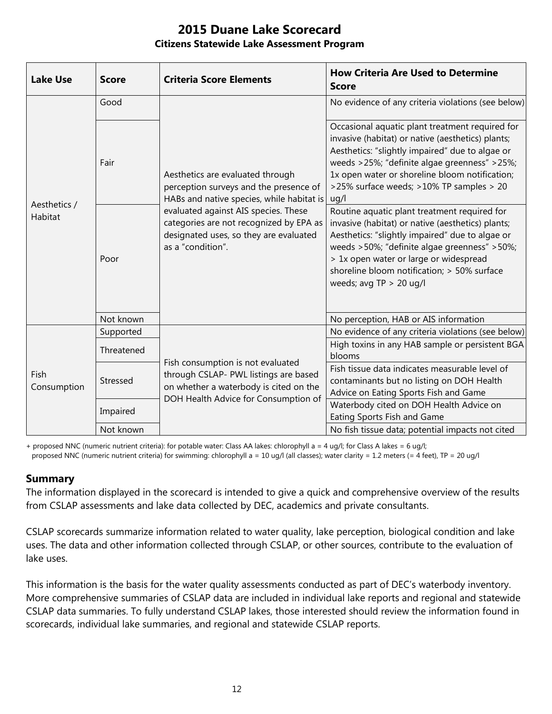| <b>Lake Use</b>         | <b>Score</b> | <b>Criteria Score Elements</b>                                                                                                                                                                                                                                            | <b>How Criteria Are Used to Determine</b><br><b>Score</b>                                                                                                                                                                                                                                                                  |
|-------------------------|--------------|---------------------------------------------------------------------------------------------------------------------------------------------------------------------------------------------------------------------------------------------------------------------------|----------------------------------------------------------------------------------------------------------------------------------------------------------------------------------------------------------------------------------------------------------------------------------------------------------------------------|
| Aesthetics /<br>Habitat | Good         | Aesthetics are evaluated through<br>perception surveys and the presence of<br>HABs and native species, while habitat is<br>evaluated against AIS species. These<br>categories are not recognized by EPA as<br>designated uses, so they are evaluated<br>as a "condition". | No evidence of any criteria violations (see below)                                                                                                                                                                                                                                                                         |
|                         | Fair         |                                                                                                                                                                                                                                                                           | Occasional aquatic plant treatment required for<br>invasive (habitat) or native (aesthetics) plants;<br>Aesthetics: "slightly impaired" due to algae or<br>weeds >25%; "definite algae greenness" >25%;<br>1x open water or shoreline bloom notification;<br>>25% surface weeds; >10% TP samples > 20<br>uq/l              |
|                         | Poor         |                                                                                                                                                                                                                                                                           | Routine aquatic plant treatment required for<br>invasive (habitat) or native (aesthetics) plants;<br>Aesthetics: "slightly impaired" due to algae or<br>weeds >50%; "definite algae greenness" >50%;<br>> 1x open water or large or widespread<br>shoreline bloom notification; > 50% surface<br>weeds; avg $TP > 20$ ug/l |
|                         | Not known    |                                                                                                                                                                                                                                                                           | No perception, HAB or AIS information                                                                                                                                                                                                                                                                                      |
| Fish<br>Consumption     | Supported    | Fish consumption is not evaluated<br>through CSLAP- PWL listings are based<br>on whether a waterbody is cited on the<br>DOH Health Advice for Consumption of                                                                                                              | No evidence of any criteria violations (see below)                                                                                                                                                                                                                                                                         |
|                         | Threatened   |                                                                                                                                                                                                                                                                           | High toxins in any HAB sample or persistent BGA<br>blooms                                                                                                                                                                                                                                                                  |
|                         | Stressed     |                                                                                                                                                                                                                                                                           | Fish tissue data indicates measurable level of<br>contaminants but no listing on DOH Health<br>Advice on Eating Sports Fish and Game                                                                                                                                                                                       |
|                         | Impaired     |                                                                                                                                                                                                                                                                           | Waterbody cited on DOH Health Advice on<br>Eating Sports Fish and Game                                                                                                                                                                                                                                                     |
|                         | Not known    |                                                                                                                                                                                                                                                                           | No fish tissue data; potential impacts not cited                                                                                                                                                                                                                                                                           |

+ proposed NNC (numeric nutrient criteria): for potable water: Class AA lakes: chlorophyll a = 4 ug/l; for Class A lakes = 6 ug/l; proposed NNC (numeric nutrient criteria) for swimming: chlorophyll a = 10 ug/l (all classes); water clarity = 1.2 meters (= 4 feet), TP = 20 ug/l

#### **Summary**

The information displayed in the scorecard is intended to give a quick and comprehensive overview of the results from CSLAP assessments and lake data collected by DEC, academics and private consultants.

CSLAP scorecards summarize information related to water quality, lake perception, biological condition and lake uses. The data and other information collected through CSLAP, or other sources, contribute to the evaluation of lake uses.

This information is the basis for the water quality assessments conducted as part of DEC's waterbody inventory. More comprehensive summaries of CSLAP data are included in individual lake reports and regional and statewide CSLAP data summaries. To fully understand CSLAP lakes, those interested should review the information found in scorecards, individual lake summaries, and regional and statewide CSLAP reports.